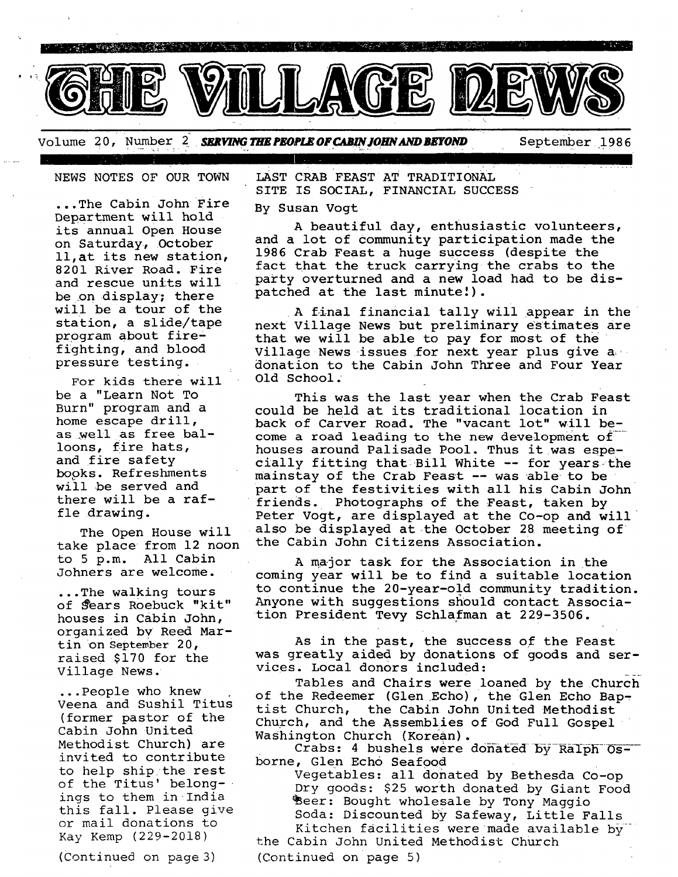

Volume 20, Number 2 SERVING THE PEOPLE OF CABIN JOHN AND BEYOND September 1986

NEWS NOTES OF OUR TOWN

...The Cabin John Fire Department will hold its annual Open House on Saturday, October ll,at its new station, 8201 River Road. Fire and rescue units will be on display; there will be a tour of the station, a slide/tape program about fire ~ fighting, and blood pressure testing.

For kids there will be a "Learn Not To Burn" program and a home escape drill, as well as free balloons, fire hats, and fire safety books. Refreshments will be served and there will be a raffle drawing.

The Open House will take place from 12 noon to 5 p.m. All Cabin Johners are welcome.

...The walking tours of *Sears* Roebuck "kit" houses in Cabin John, organized bv Reed Martin on September 20, raised \$170 for the Village News. •

...People who knew Veena and Sushil Titus (former pastor of the Cabin John United Methodist Church) are invited to contribute to help ship the rest of the Titus' belongings to them in India this fall. Please give or mail donations to Kay Kemp (229-2018)

(Continued on page 3)

LAST CRAB FEAST AT TRADITIONAL SITE IS SOCIAL, FINANCIAL SUCCESS

#### By Susan Vogt

A beautiful day, enthusiastic volunteers, and a lot of community participation made the 1986 Crab Feast a huge success (despite the fact that the truck carrying the crabs to the party overturned and a new load had to be dispatched at the last minute!).

A final financial tally will appear in the next Village News but preliminary estimates are that we will be able to pay for most of the Village News issues for next year plus give a donation to the Cabin John Three and Four Year Old School

This was the last year when the Crab Feast could be held at its traditional location in back of Carver Road. The "vacant lot" will become a road leading to the new development of houses around Palisade Pool. Thus it was especially fitting that Bill White -- for years the mainstay of the Crab Feast -- was able to be part of the festivities with all his Cabin John friends. Photographs of the Feast, taken by Peter Vogt, are displayed at the Co-op and will also be displayed at the October 28 meeting of the Cabin John Citizens Association.

A major task for the Association in the coming year will be to find a suitable location to continue the 20-year-old community tradition. Anyone with suggestions should contact Association President Tevy Schlafman at 229-3506.

As in the past, the success of the Feast was greatly aided by donations of goods and services. Local donors included:

Tables and Chairs were loaned by the Church of the Redeemer (Glen Echo), the Glen Echo Baptist Church, the Cabin John United Methodist Church, and the Assemblies of God Full Gospel Washington Church (Korean).

Crabs: 4 bushels were donated by Ralph Osborne, Glen Echo Seafood

Vegetables: all donated by Bethesda Co-op Dry goods: \$25 worth donated by Giant Food Beer: Bought wholesale by Tony Maggio Soda: Discounted by Safeway, Little Falls Kitchen facilities were made available by

the Cabin John United Methodist Church (Continued on page 5)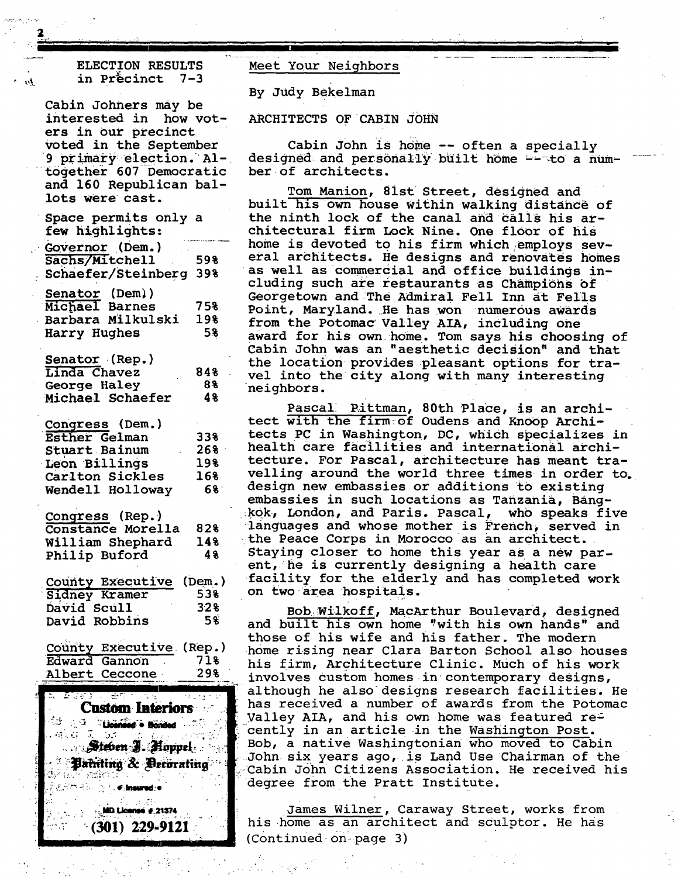## ELECTION RESULTS in Precinct 7-3

**2** 

'" **II IIIII I I I II** 

Cabin Johners may be interested in how voters in our precinct voted in the September 9 primary election. AItogether 607 Democratic and 160 Republican ballots were cast.

Space permits only a few highlights: et Governor (Dem.)<br>
Sachs/Mitchell 598 Sachs/Mitchell *:schaefer~Steinberg* 39% Senator (Dem)) Michael Barnes 75% Barbara Milkulski 19% Harry Hughes 5g Senator (Rep.) Linda Chavez 84% George Haley 8% Michael Schaefer 4% Congress (Dem.) Esther Gelman Stuart Bainum Leon Billings Carlton Sickles Wendell Holloway 33% 26% ' 19% 16% 6% Congress (Rep.) Constance Morella 82% William Shephard 14%<br>Philip Buford 4% Philip Buford County Executive (Dem.) Sidney Kramer 53% David Scull 32%<br>David Robbins 5% David Robbins

County Executive (Rep.) Edward Gannon 71% Albert Ceccone 29%



Meet Your Neighbors

By Judy Bekelman

**l l I I II** 

ARCHITECTS OF CABIN JOHN

Cabin John is home -- often a specially designed and personally built home  $-$ -to a number of architects.

Tom Manion, 8ist Street, designed and built his own house within walking distance of the ninth lock of the canal and calls his architectural firm Lock Nine. One floor of his home is devoted to his firm which employs several architects. He designs and renovates homes as well as commercial and office buildings including such are restaurants as champions of Georgetown and/The Admiral Fell Inn at Fells Point, Maryland. He has won numerous awards from the Potomac Valley AIA, including one award for his own home. Tom says his choosing of Cabin John was an "aesthetic decision" and that the location provides pleasant options for travel into the city along with many interesting neighbors.

Pascall Rittman, 80th Place, is an architect with the firm:of Oudens and Knoop Architects PC in Washington, DC, which specializes in health care facilities and internationai architecture. For Pascal, architecture has meant travelling around the world three times in order to. design new embassies or additions to existing embassies in such locations as Tanzania, Bang- :kqk, London, and Paris. Pascal, who speaks five languages and whose mother is French, served in the Peace Corps in Morocco as an architect. Staying closer to home this year as a new parent, he is currently designing a health care facility for the elderly and has completed work on two area hospitals.

Bob~ilkoff, MaCArthur Boulevard, designed and built his own home "with his own hands" and those of his wife and his father. The modern home rising near Clara Barton School also houses his firm, Architecture Clinic. Much of his work involves custom homes in contemporary designs, although he also designs research facilities. He has received a number of awards from the Potomac Valley AIA, and his own home was featured re= cently in an article in the Washington Post. Bob, a native Washingtonian who moved to Cabin John six years ago, is Land Use Chairman of the Cabin John Citizens Association. He received his degree from the Pratt Institute.

James Wilner, caraway street, works from his home as an architect and sculptor. He has (continued 0n\page 3)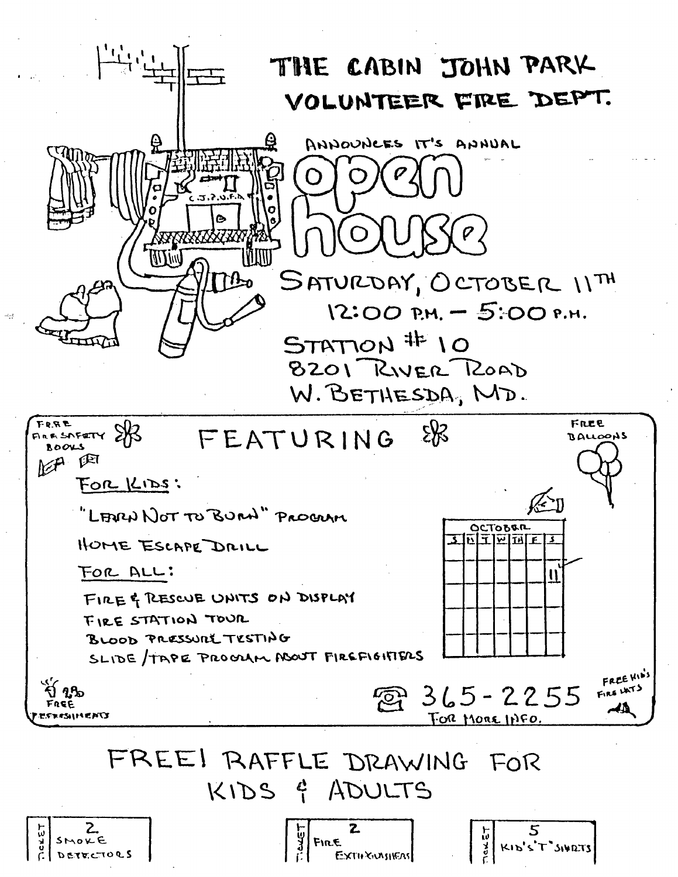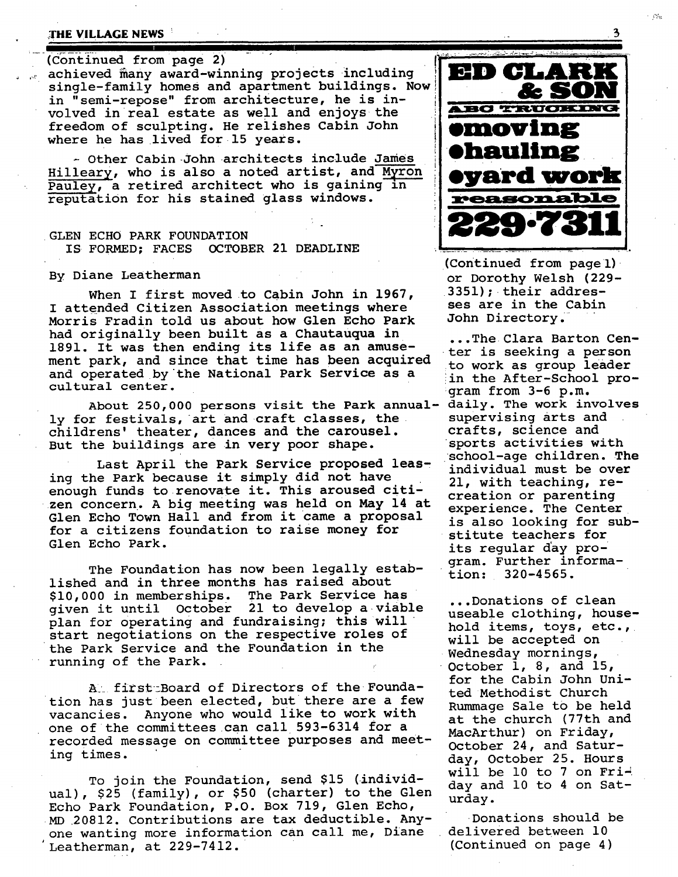### **THE VILLAGE NEWS**

(Continued from page 2)

achieved many award-winning projects including single-family homes and apartment buildings. Now in "semi-repose" from architecture, he is involved in real estate as well and enjoys the freedom of sculpting. He relishes Cabin John where he has lived for 15 years.

-- Other Cabin John architects include James Hilleary, who is also a noted artist, and Myron Pauley, a retired architect who is gaining in reputation for his stained glass windows.

### GLEN ECHO PARK FOUNDATION IS FORMED; FACES OCTOBER 21 DEADLINE

#### By Diane Leatherman

When I first moved to Cabin John in 1967, I attended Citizen Association meetings where Morris Fradin told us about how Glen Echo Park had originally been built as a Chautauqua in 1891. It was then ending its life as an amusement park, and since that time has been acquired and operated by the National Park Service as a cultural center.

About 250,000 persons visit the Park annually for festivals, art and craft classes, the childrens' theater, dances and the carousel. But the buildings are in very poor shape.

Last April the Park Service proposed leasing the Park because it simply did not have enough funds to renovate it. This aroused citizen concern. A big meeting was held on May 14 at Glen Echo Town Hall and from it came a proposal for a citizens foundation to raise money for Glen Echo Park.

The Foundation has now been legally established and in three months has raised about \$i0,000 in memberships. The Park Service has given it until October 21 to develop a viable plan for operating and fundraising; this will start negotiations on the respective roles of the Park Service and the Foundation in the running of the Park. !

A: first Board of Directors of the Foundation has just been elected, but there are a few vacancies. Anyone who would like to work with one of the committees can call 593-6314 for a recorded message on committee purposes and meeting times.

To join the Foundation, send \$15 (individual), \$25 (family), or \$50 (charter) to the Glen Echo Park Foundation, P.O. Box 719, Glen Echo, MD 20812. Contributions are tax deductible. Anyone wanting more information can call me, Diane Leatherman, at 229-7412.



e est

(Continued from pagel) or Dorothy Welsh (229- 3351); their addresses are in the Cabin John Directory.

...The Clara Barton Center is seeking a person to work as group leader in the After-School program from 3-6 p.m.<br>daily. The work involves supervising arts and crafts, science and sports activities with school-age children. The individual must be over 21, with teaching, recreation or parenting experience. The Center is also looking for substitute teachers for its regular day program. Further information: 320-4565.

...Donations of clean useable clothing, household items, toys, etc., will be accepted on Wednesday mornings, October i, 8, and 15, for the Cabin John United Methodist Church Rummage Sale tO be held at the church (77th and MacArthur) on Friday, October 24, and Saturday, October 25. Hours will be 10 to 7 on  $Fri$ day and i0 to 4 on Saturday.

Donations should be delivered between I0 (Continued on page 4)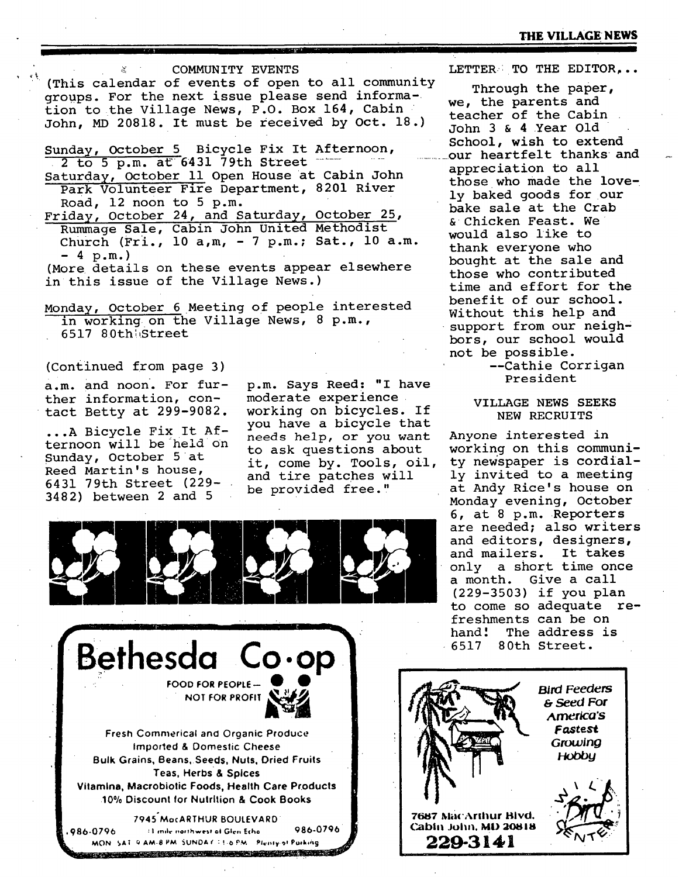< COMMUNITY EVENTS

(This calendar of events of open to all community groups. For the next issue please send information to the Village News, P.O. Box 164, Cabin John, MD 20818. It must be received by Oct. 18.)

Sunday, October 5 Bicycle Fix It Afternoon,  $2 \overline{t}$  to 5 p.m. at 6431 79th Street

- Saturday, October ii Open House at Cabin John Park Volunteer Fire Department, 8201 River Road, 12 noon to 5 p.m.
- Friday, October 24, and Saturday, October 25, Rummage Sale, Cabin John United Methodist Church (Fri.,  $10 a$ , m,  $-7 p$ , m.; Sat.,  $10 a$ . m. **- 4 p.m.)**

Monday, October 6 Meeting of people interested in working on the Village News, 8 p.m., 6517 80thl,Street

(Continued from page 3)

a.m. and noon. For further information, contact Betty at 299-9082.

...A Bicycle Fix It Afternoon will be held on Sunday, October 5 at Reed Martin's house, 6431 79th Street (229- 3482) between 2 and 5

p.m. Says Reed: "I have moderate experience working on bicycles. If you have a bicycle that needs help, or you want to ask questions about it, come by. Tools, oil, and tire patches will be provided free."





LETTER: TO THE EDITOR...

Through the paper, we, the parents and teacher of the Cabin John 3 & 4 Year Old School, wish to extend our heartfelt thanks and appreciation to all those who made the lovely baked goods for our bake sale at the Crab &Chicken Feast. We would also like to thank everyone who bought at the sale and those who contributed time and effort for the benefit of our school. Without this help and support from our neighbors, our school would not be possible.

> --Cathie Corrigan President

## VILLAGE NEWS SEEKS NEW RECRUITS

Anyone interested in working on this community newspaper is cordially invited to a meeting at Andy Rice's house on Monday evening, October 6, at 8 p.m. Reporters are needed; also writers and editors, designers, and mailers. It takes only a short time once a month. Give a call (229-3503) if you plan to come so adequate refreshments can be on hand! The address is 6517 80th Street.



<sup>(</sup>More details on these events appear elsewhere in this issue of the Village News.)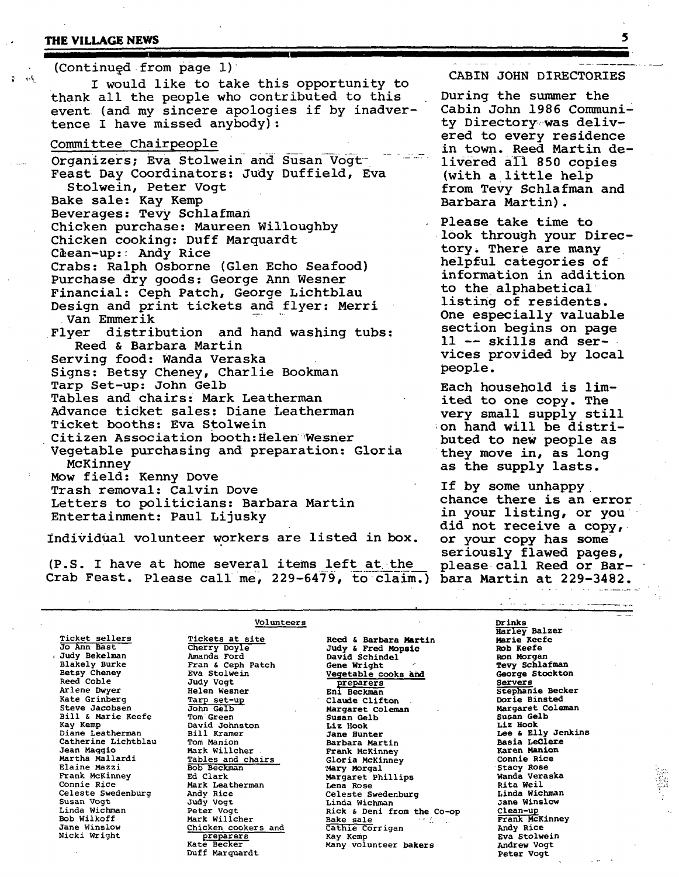## **THE VILLAGE NEWS** 5

 $3a-7$ 

| (Continued from page 1)                                                                                                                                                                                                                                                                                                                                                                                                                                               |                                                                                                                                                                                                                                                                                                   |
|-----------------------------------------------------------------------------------------------------------------------------------------------------------------------------------------------------------------------------------------------------------------------------------------------------------------------------------------------------------------------------------------------------------------------------------------------------------------------|---------------------------------------------------------------------------------------------------------------------------------------------------------------------------------------------------------------------------------------------------------------------------------------------------|
| I would like to take this opportunity to                                                                                                                                                                                                                                                                                                                                                                                                                              | CABIN JOHN DIRECTORIES                                                                                                                                                                                                                                                                            |
| thank all the people who contributed to this<br>event (and my sincere apologies if by inadver-<br>tence I have missed anybody):                                                                                                                                                                                                                                                                                                                                       | During the summer the<br>Cabin John 1986 Communi-<br>ty Directory was deliv-                                                                                                                                                                                                                      |
| Committee Chairpeople<br>Organizers; Eva Stolwein and Susan Vogt-<br>Feast Day Coordinators: Judy Duffield, Eva<br>Stolwein, Peter Vogt<br>Bake sale: Kay Kemp                                                                                                                                                                                                                                                                                                        | ered to every residence<br>in town. Reed Martin de-<br>livered all 850 copies<br>(with a little help<br>from Tevy Schlafman and<br>Barbara Martin).                                                                                                                                               |
| Beverages: Tevy Schlafman<br>Chicken purchase: Maureen Willoughby<br>Chicken cooking: Duff Marquardt<br>Clean-up: Andy Rice<br>Crabs: Ralph Osborne (Glen Echo Seafood)<br>Purchase dry goods: George Ann Wesner<br>Financial: Ceph Patch, George Lichtblau<br>Design and print tickets and flyer: Merri<br>.Van Emmerik<br>Flyer distribution and hand washing tubs:<br>Reed & Barbara Martin<br>Serving food: Wanda Veraska<br>Signs: Betsy Cheney, Charlie Bookman | Please take time to<br>look through your Direc-<br>tory. There are many<br>helpful categories of<br>information in addition<br>to the alphabetical<br>listing of residents.<br>One especially valuable<br>section begins on page<br>$11$ -- skills and ser-<br>vices provided by local<br>people. |
| Tarp Set-up: John Gelb<br>Tables and chairs: Mark Leatherman<br>Advance ticket sales: Diane Leatherman<br>Ticket booths: Eva Stolwein<br>Citizen Association booth: Helen Wesner<br>Vegetable purchasing and preparation: Gloria<br>McKinney                                                                                                                                                                                                                          | Each household is lim-<br>ited to one copy. The<br>very small supply still<br>on hand will be distri-<br>buted to new people as<br>they move in, as long<br>as the supply lasts.                                                                                                                  |
| Mow field: Kenny Dove<br>Trash removal: Calvin Dove<br>Letters to politicians: Barbara Martin<br>Entertainment: Paul Lijusky<br>the matrix and the contract construction and lateral in 1                                                                                                                                                                                                                                                                             | If by some unhappy<br>chance there is an error<br>in your listing, or you<br>did not receive a copy,                                                                                                                                                                                              |

individual volunteer workers are listed in box.

(P.S. I have at home several items left at the Crab Feast. Please call me, 229-6479, to claim.) bara Martin at 229-3482.

 $\overline{\mathbf{p}} \overline{\mathbf{p}}$ an error , or you a copy, or your copy has some seriously flawed pages,<br>please call Reed or Bar-

*Contract Contract Contract Contract Contract Contract Contract Contract Contract Contract Contract Contract Contract Contract Contract Contract Contract Contract Contract Contract Contract Contract Contract Contract Cont* 

iyo.

i:

|                       |                     |                                      | and the contract of the presentations |  |
|-----------------------|---------------------|--------------------------------------|---------------------------------------|--|
|                       | Volunteers          |                                      | Drinks                                |  |
| <b>Ticket sellers</b> | Tickets at site     | Reed & Barbara Martin                | Harley Balzer<br>Marie Keefe          |  |
| Jo Ann Bast           | Cherry Doyle        |                                      | Rob Keefe                             |  |
| Judy Bekelman         | Amanda Ford         | Judy & Fred Mopsic<br>David Schindel | Ron Morgan                            |  |
| <b>Blakely Burke</b>  | Fran & Ceph Patch   |                                      | Tevy Schlafman                        |  |
| Betsy Cheney          | Eva Stolwein        | Gene Wright                          | George Stockton                       |  |
| Reed Coble            |                     | Vegetable cooks and                  |                                       |  |
|                       | Judy Vogt           | preparers                            | <b>Servers</b>                        |  |
| Arlene Dwyer          | Helen Wesner        | Eni Beckman                          | Stephanie Becker                      |  |
| Kate Grinberg         | Tarp set-up         | Claude Clifton                       | Dorie Binsted                         |  |
| Steve Jacobsen        | John Gelb           | Margaret Coleman                     | Margaret Coleman                      |  |
| Bill & Marie Keefe    | Tom Green           | Susan Gelb                           | Susan Gelb                            |  |
| Kay Kemp              | David Johnston      | Liz Hook                             | <b>Liz Hook</b>                       |  |
| Diane Leatherman      | Bill Kramer         | Jane Hunter                          | Lee & Elly Jenkins                    |  |
| Catherine Lichtblau   | Tom Manion          | Barbara Martin                       | Basia LeGlere                         |  |
| Jean Maggio           | Mark Willcher       | Frank McKinney                       | <b>Karen Manion</b>                   |  |
| Martha Mallardi       | Tables and chairs   | Gloria McKinney                      | Connie Rice                           |  |
| Elaine Mazzi          | Bob Beckman         | Mary Morgal                          | Stacy Rose                            |  |
| Frank McKinney        | Ed Clark            | Margaret Phillips                    | Wanda Veraska                         |  |
| Connie Rice           | Mark Leatherman     | Lena Rose                            | Rita Weil                             |  |
| Celeste Swedenburg    | Andy Rice           | Celeste Swedenburg                   | Linda Wichman                         |  |
| Susan Vogt            | Judy Vogt           | Linda Wichman                        | Jane Winslow                          |  |
| Linda Wichman         | Peter Vogt          | Rick & Deni from the Co-op           | Clean-up                              |  |
| Bob Wilkoff           | Mark Willcher       | Bake sale<br>Anderson                | Frank McKinney                        |  |
| Jane Winslow          | Chicken cookers and | Cathie Corrigan                      | Andy Rice                             |  |
| Nicki Wright          | preparers           | Kay Kemp                             | Eva Stolwein                          |  |
|                       | Kate Becker         | Many volunteer bakers                | Andrew Vogt                           |  |
|                       | Duff Marquardt      |                                      | Peter Vogt                            |  |
|                       |                     |                                      |                                       |  |